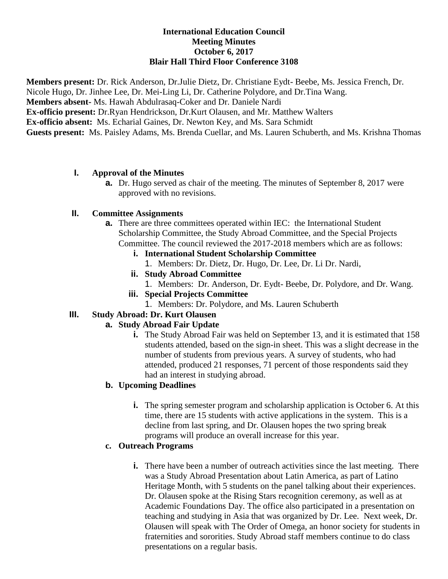### **International Education Council Meeting Minutes October 6, 2017 Blair Hall Third Floor Conference 3108**

**Members present:** Dr. Rick Anderson, Dr.Julie Dietz, Dr. Christiane Eydt- Beebe, Ms. Jessica French, Dr. Nicole Hugo, Dr. Jinhee Lee, Dr. Mei-Ling Li, Dr. Catherine Polydore, and Dr.Tina Wang. **Members absent-** Ms. Hawah Abdulrasaq-Coker and Dr. Daniele Nardi **Ex-officio present:** Dr.Ryan Hendrickson, Dr.Kurt Olausen, and Mr. Matthew Walters **Ex-officio absent:** Ms. Echarial Gaines, Dr. Newton Key, and Ms. Sara Schmidt **Guests present:** Ms. Paisley Adams, Ms. Brenda Cuellar, and Ms. Lauren Schuberth, and Ms. Krishna Thomas

### **I. Approval of the Minutes**

**a.** Dr. Hugo served as chair of the meeting. The minutes of September 8, 2017 were approved with no revisions.

### **II. Committee Assignments**

- **a.** There are three committees operated within IEC: the International Student Scholarship Committee, the Study Abroad Committee, and the Special Projects Committee. The council reviewed the 2017-2018 members which are as follows:
	- **i. International Student Scholarship Committee**
		- 1. Members: Dr. Dietz, Dr. Hugo, Dr. Lee, Dr. Li Dr. Nardi,
	- **ii. Study Abroad Committee**
		- 1. Members: Dr. Anderson, Dr. Eydt- Beebe, Dr. Polydore, and Dr. Wang.
	- **iii. Special Projects Committee**
		- 1. Members: Dr. Polydore, and Ms. Lauren Schuberth

## **III. Study Abroad: Dr. Kurt Olausen**

## **a. Study Abroad Fair Update**

**i.** The Study Abroad Fair was held on September 13, and it is estimated that 158 students attended, based on the sign-in sheet. This was a slight decrease in the number of students from previous years. A survey of students, who had attended, produced 21 responses, 71 percent of those respondents said they had an interest in studying abroad.

## **b. Upcoming Deadlines**

**i.** The spring semester program and scholarship application is October 6. At this time, there are 15 students with active applications in the system. This is a decline from last spring, and Dr. Olausen hopes the two spring break programs will produce an overall increase for this year.

### **c. Outreach Programs**

**i.** There have been a number of outreach activities since the last meeting. There was a Study Abroad Presentation about Latin America, as part of Latino Heritage Month, with 5 students on the panel talking about their experiences. Dr. Olausen spoke at the Rising Stars recognition ceremony, as well as at Academic Foundations Day. The office also participated in a presentation on teaching and studying in Asia that was organized by Dr. Lee. Next week, Dr. Olausen will speak with The Order of Omega, an honor society for students in fraternities and sororities. Study Abroad staff members continue to do class presentations on a regular basis.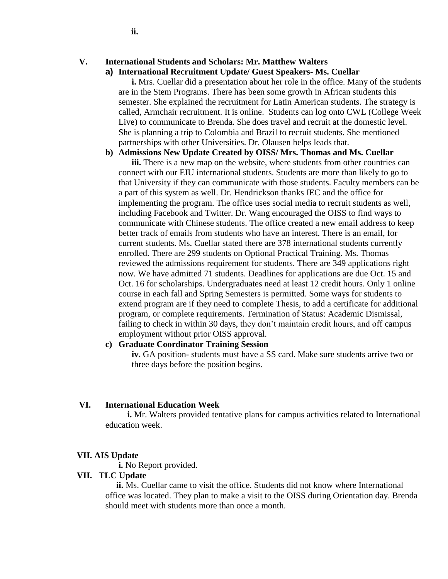### **V. International Students and Scholars: Mr. Matthew Walters**

#### **a) International Recruitment Update/ Guest Speakers- Ms. Cuellar**

**i.** Mrs. Cuellar did a presentation about her role in the office. Many of the students are in the Stem Programs. There has been some growth in African students this semester. She explained the recruitment for Latin American students. The strategy is called, Armchair recruitment. It is online. Students can log onto CWL (College Week Live) to communicate to Brenda. She does travel and recruit at the domestic level. She is planning a trip to Colombia and Brazil to recruit students. She mentioned partnerships with other Universities. Dr. Olausen helps leads that.

#### **b) Admissions New Update Created by OISS/ Mrs. Thomas and Ms. Cuellar**

**iii.** There is a new map on the website, where students from other countries can connect with our EIU international students. Students are more than likely to go to that University if they can communicate with those students. Faculty members can be a part of this system as well. Dr. Hendrickson thanks IEC and the office for implementing the program. The office uses social media to recruit students as well, including Facebook and Twitter. Dr. Wang encouraged the OISS to find ways to communicate with Chinese students. The office created a new email address to keep better track of emails from students who have an interest. There is an email, for current students. Ms. Cuellar stated there are 378 international students currently enrolled. There are 299 students on Optional Practical Training. Ms. Thomas reviewed the admissions requirement for students. There are 349 applications right now. We have admitted 71 students. Deadlines for applications are due Oct. 15 and Oct. 16 for scholarships. Undergraduates need at least 12 credit hours. Only 1 online course in each fall and Spring Semesters is permitted. Some ways for students to extend program are if they need to complete Thesis, to add a certificate for additional program, or complete requirements. Termination of Status: Academic Dismissal, failing to check in within 30 days, they don't maintain credit hours, and off campus employment without prior OISS approval.

#### **c) Graduate Coordinator Training Session**

**iv.** GA position- students must have a SS card. Make sure students arrive two or three days before the position begins.

#### **VI. International Education Week**

 **i.** Mr. Walters provided tentative plans for campus activities related to International education week.

#### **VII. AIS Update**

 **i.** No Report provided.

#### **VII. TLC Update**

 **ii.** Ms. Cuellar came to visit the office. Students did not know where International office was located. They plan to make a visit to the OISS during Orientation day. Brenda should meet with students more than once a month.